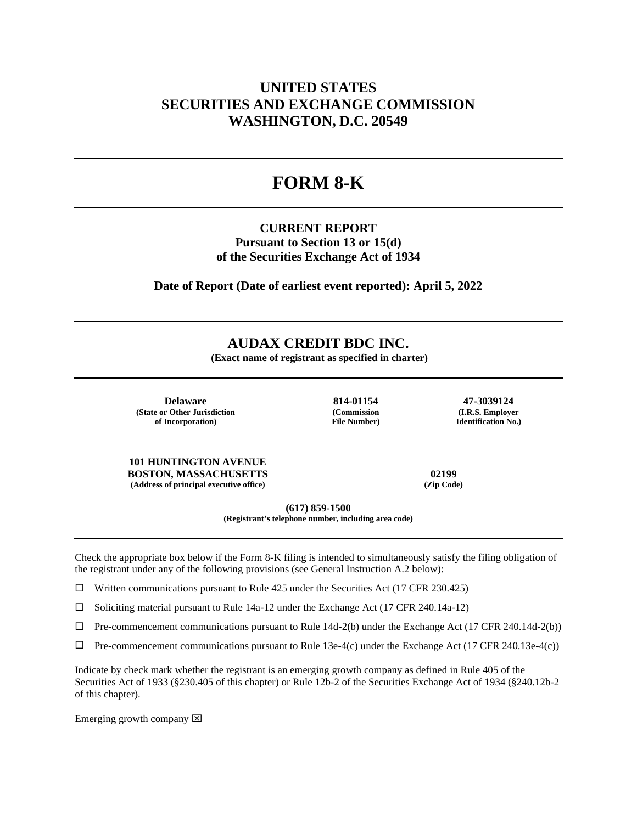## **UNITED STATES SECURITIES AND EXCHANGE COMMISSION WASHINGTON, D.C. 20549**

# **FORM 8-K**

### **CURRENT REPORT Pursuant to Section 13 or 15(d) of the Securities Exchange Act of 1934**

**Date of Report (Date of earliest event reported): April 5, 2022**

### **AUDAX CREDIT BDC INC.**

**(Exact name of registrant as specified in charter)**

**Delaware 814-01154 47-3039124 (State or Other Jurisdiction of Incorporation)**

**(Commission File Number)**

**(I.R.S. Employer Identification No.)**

**101 HUNTINGTON AVENUE BOSTON, MASSACHUSETTS 02199 (Address of principal executive office) (Zip Code)**

**(617) 859-1500**

**(Registrant's telephone number, including area code)**

Check the appropriate box below if the Form 8-K filing is intended to simultaneously satisfy the filing obligation of the registrant under any of the following provisions (see General Instruction A.2 below):

 $\Box$  Written communications pursuant to Rule 425 under the Securities Act (17 CFR 230.425)

 $\square$  Soliciting material pursuant to Rule 14a-12 under the Exchange Act (17 CFR 240.14a-12)

 $\Box$  Pre-commencement communications pursuant to Rule 14d-2(b) under the Exchange Act (17 CFR 240.14d-2(b))

 $\Box$  Pre-commencement communications pursuant to Rule 13e-4(c) under the Exchange Act (17 CFR 240.13e-4(c))

Indicate by check mark whether the registrant is an emerging growth company as defined in Rule 405 of the Securities Act of 1933 (§230.405 of this chapter) or Rule 12b-2 of the Securities Exchange Act of 1934 (§240.12b-2 of this chapter).

Emerging growth company  $\boxtimes$